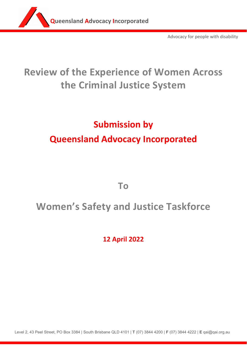

Advocacy for people with disability

## **Review of the Experience of Women Across the Criminal Justice System**

# **Submission by Queensland Advocacy Incorporated**

**To**

## **Women's Safety and Justice Taskforce**

**12 April 2022**

Level 2, 43 Peel Street, PO Box 3384 | South Brisbane QLD 4101 | **T** (07) 3844 4200 | **F** (07) 3844 4222 | **E** qai@qai.org.au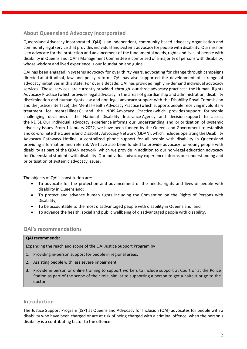## **About Queensland Advocacy Incorporated**

Queensland Advocacy Incorporated (**QAI**) is an independent, community‐based advocacy organisation and community legal service that provides individual and systems advocacy for people with disability. Our mission is to advocate for the protection and advancement of the fundamental needs, rights and lives of people with disability in Queensland. QAI's Management Committee is comprised of a majority of persons with disability, whose wisdom and lived experience is our foundation and guide.

QAI has been engaged in systems advocacy for over thirty years, advocating for change through campaigns directed at attitudinal, law and policy reform. QAI has also supported the development of a range of advocacy initiatives in this state. For over a decade, QAI has provided highly in‐demand individual advocacy services. These services are currently provided through our three advocacy practices: the Human Rights Advocacy Practice (which provides legal advocacy in the areas of guardianship and administration, disability discrimination and human rights law and non‐legal advocacy support with the Disability Royal Commission and the justice interface); the Mental Health Advocacy Practice (which supports people receiving involuntary treatment for mental illness); and the NDIS Advocacy Practice (which provides support for people challenging decisions of the National Disability Insurance Agency and decision support to access the NDIS). Our individual advocacy experience informs our understanding and prioritisation of systemic advocacy issues. From 1 January 2022, we have been funded by the Queensland Government to establish and co-ordinate the Queensland Disability Advocacy Network (QDAN), which includes operating the Disability Advocacy Pathways Hotline, a centralized phone support for all people with disability in Queensland providing information and referral. We have also been funded to provide advocacy for young people with disability as part of the QDAN network, which we provide in addition to our non‐legal education advocacy for Queensland students with disability. Our individual advocacy experience informs our understanding and prioritisation of systemic advocacy issues. 

The objects of QAI's constitution are:

- To advocate for the protection and advancement of the needs, rights and lives of people with disability in Queensland;
- To protect and advance human rights including the Convention on the Rights of Persons with Disability;
- To be accountable to the most disadvantaged people with disability in Queensland; and
- To advance the health, social and public wellbeing of disadvantaged people with disability.

### **QAI's recommendations**

#### **QAI recommends:**

Expanding the reach and scope of the QAI Justice Support Program by

- 1. Providing in‐person support for people in regional areas;
- 2. Assisting people with less severe impairment;
- 3. Provide in person or online training to support workers to include support at Court or at the Police Station as part of the scope of their role, similar to supporting a person to get a haircut or go to the doctor.

## **Introduction**

The Justice Support Program (JSP) at Queensland Advocacy for Inclusion (QAI) advocates for people with a disability who have been charged or are at risk of being charged with a criminal offence, when the person's disability is a contributing factor to the offence.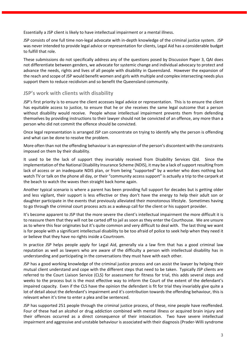Essentially a JSP client is likely to have intellectual impairment or a mental illness.

JSP consists of one full time non-legal advocate with in-depth knowledge of the criminal justice system. JSP was never intended to provide legal advice or representation for clients, Legal Aid has a considerable budget to fulfill that role.

These submissions do not specifically address any of the questions posed by Discussion Paper 3, QAI does not differentiate between genders, we advocate for systemic change and individual advocacy to protect and advance the needs, rights and lives of all people with disability in Queensland. However the expansion of the reach and scope of JSP would benefit women and girls with multiple and complex intersecting needs plus support them to reduce recidivism and so benefit the Queensland community.

#### **JSP's work with clients with disability**

JSP's first priority is to ensure the client accesses legal advice or representation. This is to ensure the client has equitable access to justice, to ensure that he or she receives the same legal outcome that a person without disability would receive. People whose intellectual impairment prevents them from defending themselves by providing instructions to their lawyer should not be convicted of an offence, any more than a person who did not commit the offence should be convicted.

Once legal representation is arranged JSP can concentrate on trying to identify why the person is offending and what can be done to resolve the problem.

More often than not the offending behaviour is an expression of the person's discontent with the constraints imposed on them by their disability.

It used to be the lack of support they invariably received from Disability Services Qld. Since the implementation of the National Disability Insurance Scheme (NDIS), it may be a lack of support resulting from lack of access or an inadequate NDIS plan, or from being "supported" by a worker who does nothing but watch TV or talk on the phone all day, or their "community access support" is actually a trip to the carpark at the beach to watch the waves then straight back home again.

Another typical scenario is where a parent has been providing full support for decades but is getting older and less vigilant, their support is less effective or they don't have the energy to help their adult son or daughter participate in the events that previously alleviated their monotonous lifestyle. Sometimes having to go through the criminal court process acts as a wakeup call for the client or his support provider.

It's become apparent to JSP that the more severe the client's intellectual impairment the more difficult it is to reassure them that they will not be carted off to jail as soon as they enter the Courthouse. We are unsure as to where this fear originates but it's quite common and very difficult to deal with. The last thing we want is for people with a significant intellectual disability to be too afraid of police to seek help when they need it or believe that they have no rights inside a Courtroom.

In practice JSP helps people apply for Legal Aid, generally via a law firm that has a good criminal law reputation as well as lawyers who are aware of the difficulty a person with intellectual disability has in understanding and participating in the conversations they must have with each other.

JSP has a good working knowledge of the criminal justice process and can assist the lawyer by helping their mutual client understand and cope with the different steps that need to be taken. Typically JSP clients are referred to the Court Liaison Service (CLS) for assessment for fitness for trial, this adds several steps and weeks to the process but is the most effective way to inform the Court of the extent of the defendant's impaired capacity. Even if the CLS have the opinion the defendant is fit for trial they invariably give quite a lot of detail about the defendant's impairment and it's contribution towards the offending behaviour, this is relevant when it's time to enter a plea and be sentenced.

JSP has supported 251 people through the criminal justice process, of these, nine people have reoffended. Four of these had an alcohol or drug addiction combined with mental illness or acquired brain injury and their offences occurred as a direct consequence of their intoxication. Two have severe intellectual impairment and aggressive and unstable behaviour is associated with their diagnosis (Prader‐Willi syndrome